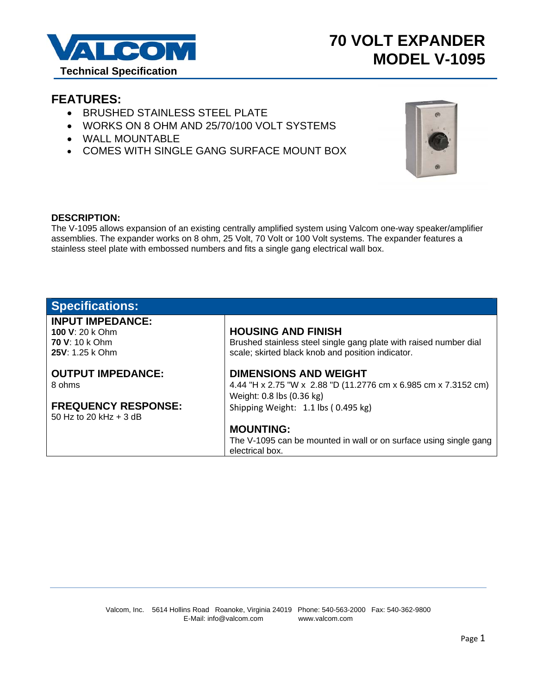

# **70 VOLT EXPANDER MODEL V-1095**

### **FEATURES:**

- **BRUSHED STAINLESS STEEL PLATE**
- WORKS ON 8 OHM AND 25/70/100 VOLT SYSTEMS
- WALL MOUNTABLE
- COMES WITH SINGLE GANG SURFACE MOUNT BOX



#### **DESCRIPTION:**

The V-1095 allows expansion of an existing centrally amplified system using Valcom one-way speaker/amplifier assemblies. The expander works on 8 ohm, 25 Volt, 70 Volt or 100 Volt systems. The expander features a stainless steel plate with embossed numbers and fits a single gang electrical wall box.

| <b>Specifications:</b>     |                                                                   |
|----------------------------|-------------------------------------------------------------------|
| <b>INPUT IMPEDANCE:</b>    |                                                                   |
| 100 V: 20 k Ohm            | <b>HOUSING AND FINISH</b>                                         |
| <b>70 V: 10 k Ohm</b>      | Brushed stainless steel single gang plate with raised number dial |
| 25V: 1.25 k Ohm            | scale; skirted black knob and position indicator.                 |
|                            |                                                                   |
| <b>OUTPUT IMPEDANCE:</b>   | <b>DIMENSIONS AND WEIGHT</b>                                      |
| 8 ohms                     | 4.44 "H x 2.75 "W x 2.88 "D (11.2776 cm x 6.985 cm x 7.3152 cm)   |
|                            | Weight: 0.8 lbs (0.36 kg)                                         |
| <b>FREQUENCY RESPONSE:</b> | Shipping Weight: 1.1 lbs (0.495 kg)                               |
| 50 Hz to 20 kHz $+$ 3 dB   |                                                                   |
|                            | <b>MOUNTING:</b>                                                  |
|                            | The V-1095 can be mounted in wall or on surface using single gang |
|                            | electrical box.                                                   |